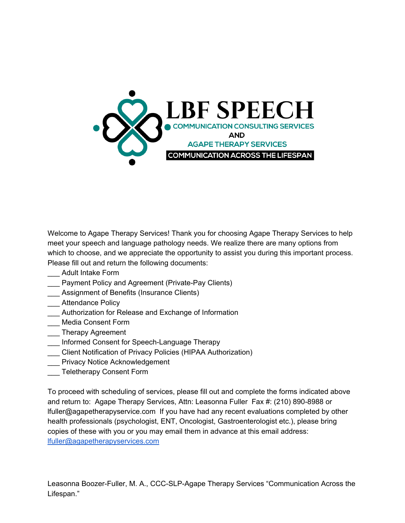

Welcome to Agape Therapy Services! Thank you for choosing Agape Therapy Services to help meet your speech and language pathology needs. We realize there are many options from which to choose, and we appreciate the opportunity to assist you during this important process. Please fill out and return the following documents:

- \_\_\_ Adult Intake Form
- \_\_\_ Payment Policy and Agreement (Private-Pay Clients)
- \_\_\_ Assignment of Benefits (Insurance Clients)
- \_\_\_ Attendance Policy
- \_\_\_ Authorization for Release and Exchange of Information
- \_\_\_ Media Consent Form
- \_\_\_ Therapy Agreement
- \_\_\_ Informed Consent for Speech-Language Therapy
- \_\_\_ Client Notification of Privacy Policies (HIPAA Authorization)
- Privacy Notice Acknowledgement
- \_\_\_ Teletherapy Consent Form

To proceed with scheduling of services, please fill out and complete the forms indicated above and return to: Agape Therapy Services, Attn: Leasonna Fuller Fax #: (210) 890-8988 or lfuller@agapetherapyservice.com If you have had any recent evaluations completed by other health professionals (psychologist, ENT, Oncologist, Gastroenterologist etc.), please bring copies of these with you or you may email them in advance at this email address: [lfuller@agapetherapyservices.com](mailto:lfuller@agapetherapyservices.com)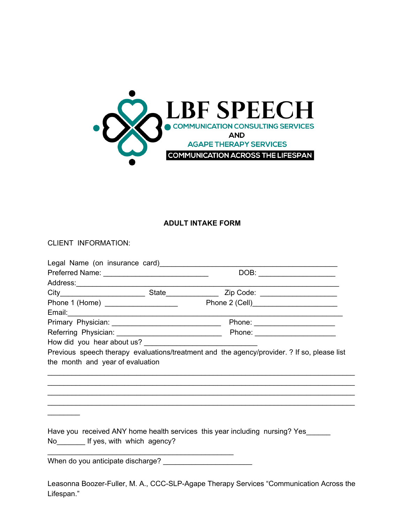

### **ADULT INTAKE FORM**

CLIENT INFORMATION:

|                                                                                  |  | DOB: _____________________                                                                  |
|----------------------------------------------------------------------------------|--|---------------------------------------------------------------------------------------------|
|                                                                                  |  |                                                                                             |
|                                                                                  |  |                                                                                             |
| Phone 1 (Home) ____________________                                              |  |                                                                                             |
|                                                                                  |  |                                                                                             |
|                                                                                  |  |                                                                                             |
|                                                                                  |  |                                                                                             |
|                                                                                  |  |                                                                                             |
|                                                                                  |  | Previous speech therapy evaluations/treatment and the agency/provider. ? If so, please list |
| the month and year of evaluation                                                 |  |                                                                                             |
|                                                                                  |  | ,我们也不能会有什么。""我们的人,我们也不能会有什么?""我们的人,我们也不能会有什么?""我们的人,我们也不能会有什么?""我们的人,我们也不能会有什么?""           |
|                                                                                  |  |                                                                                             |
|                                                                                  |  |                                                                                             |
|                                                                                  |  |                                                                                             |
|                                                                                  |  |                                                                                             |
|                                                                                  |  |                                                                                             |
| Have you received ANY home health services this year including nursing? Yes_____ |  |                                                                                             |
| No <sub>_________</sub> If yes, with which agency?                               |  |                                                                                             |

When do you anticipate discharge?

\_\_\_\_\_\_\_\_\_\_\_\_\_\_\_\_\_\_\_\_\_\_\_\_\_\_\_\_\_\_\_\_\_\_\_\_\_\_\_\_\_\_\_\_\_\_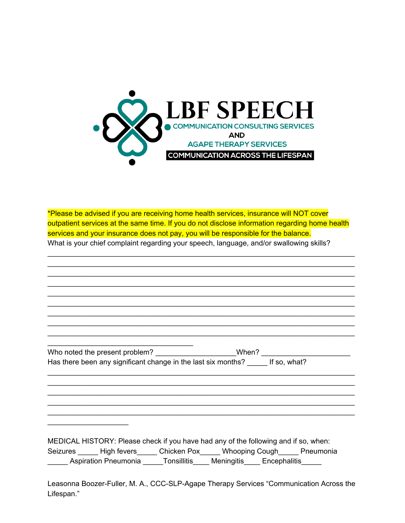

\*Please be advised if you are receiving home health services, insurance will NOT cover outpatient services at the same time. If you do not disclose information regarding home health services and your insurance does not pay, you will be responsible for the balance. What is your chief complaint regarding your speech, language, and/or swallowing skills?

\_\_\_\_\_\_\_\_\_\_\_\_\_\_\_\_\_\_\_\_\_\_\_\_\_\_\_\_\_\_\_\_\_\_\_\_\_\_\_\_\_\_\_\_\_\_\_\_\_\_\_\_\_\_\_\_\_\_\_\_\_\_\_\_\_\_\_\_\_\_\_\_\_\_\_\_ \_\_\_\_\_\_\_\_\_\_\_\_\_\_\_\_\_\_\_\_\_\_\_\_\_\_\_\_\_\_\_\_\_\_\_\_\_\_\_\_\_\_\_\_\_\_\_\_\_\_\_\_\_\_\_\_\_\_\_\_\_\_\_\_\_\_\_\_\_\_\_\_\_\_\_\_ \_\_\_\_\_\_\_\_\_\_\_\_\_\_\_\_\_\_\_\_\_\_\_\_\_\_\_\_\_\_\_\_\_\_\_\_\_\_\_\_\_\_\_\_\_\_\_\_\_\_\_\_\_\_\_\_\_\_\_\_\_\_\_\_\_\_\_\_\_\_\_\_\_\_\_\_ \_\_\_\_\_\_\_\_\_\_\_\_\_\_\_\_\_\_\_\_\_\_\_\_\_\_\_\_\_\_\_\_\_\_\_\_\_\_\_\_\_\_\_\_\_\_\_\_\_\_\_\_\_\_\_\_\_\_\_\_\_\_\_\_\_\_\_\_\_\_\_\_\_\_\_\_ \_\_\_\_\_\_\_\_\_\_\_\_\_\_\_\_\_\_\_\_\_\_\_\_\_\_\_\_\_\_\_\_\_\_\_\_\_\_\_\_\_\_\_\_\_\_\_\_\_\_\_\_\_\_\_\_\_\_\_\_\_\_\_\_\_\_\_\_\_\_\_\_\_\_\_\_ \_\_\_\_\_\_\_\_\_\_\_\_\_\_\_\_\_\_\_\_\_\_\_\_\_\_\_\_\_\_\_\_\_\_\_\_\_\_\_\_\_\_\_\_\_\_\_\_\_\_\_\_\_\_\_\_\_\_\_\_\_\_\_\_\_\_\_\_\_\_\_\_\_\_\_\_ \_\_\_\_\_\_\_\_\_\_\_\_\_\_\_\_\_\_\_\_\_\_\_\_\_\_\_\_\_\_\_\_\_\_\_\_\_\_\_\_\_\_\_\_\_\_\_\_\_\_\_\_\_\_\_\_\_\_\_\_\_\_\_\_\_\_\_\_\_\_\_\_\_\_\_\_ \_\_\_\_\_\_\_\_\_\_\_\_\_\_\_\_\_\_\_\_\_\_\_\_\_\_\_\_\_\_\_\_\_\_\_\_\_\_\_\_\_\_\_\_\_\_\_\_\_\_\_\_\_\_\_\_\_\_\_\_\_\_\_\_\_\_\_\_\_\_\_\_\_\_\_\_ \_\_\_\_\_\_\_\_\_\_\_\_\_\_\_\_\_\_\_\_\_\_\_\_\_\_\_\_\_\_\_\_\_\_\_\_\_\_\_\_\_\_\_\_\_\_\_\_\_\_\_\_\_\_\_\_\_\_\_\_\_\_\_\_\_\_\_\_\_\_\_\_\_\_\_\_

| Who noted the present problem?                                | When? |              |
|---------------------------------------------------------------|-------|--------------|
| Has there been any significant change in the last six months? |       | If so, what? |
|                                                               |       |              |

\_\_\_\_\_\_\_\_\_\_\_\_\_\_\_\_\_\_\_\_\_\_\_\_\_\_\_\_\_\_\_\_\_\_\_\_\_\_\_\_\_\_\_\_\_\_\_\_\_\_\_\_\_\_\_\_\_\_\_\_\_\_\_\_\_\_\_\_\_\_\_\_\_\_\_\_ \_\_\_\_\_\_\_\_\_\_\_\_\_\_\_\_\_\_\_\_\_\_\_\_\_\_\_\_\_\_\_\_\_\_\_\_\_\_\_\_\_\_\_\_\_\_\_\_\_\_\_\_\_\_\_\_\_\_\_\_\_\_\_\_\_\_\_\_\_\_\_\_\_\_\_\_ \_\_\_\_\_\_\_\_\_\_\_\_\_\_\_\_\_\_\_\_\_\_\_\_\_\_\_\_\_\_\_\_\_\_\_\_\_\_\_\_\_\_\_\_\_\_\_\_\_\_\_\_\_\_\_\_\_\_\_\_\_\_\_\_\_\_\_\_\_\_\_\_\_\_\_\_ \_\_\_\_\_\_\_\_\_\_\_\_\_\_\_\_\_\_\_\_\_\_\_\_\_\_\_\_\_\_\_\_\_\_\_\_\_\_\_\_\_\_\_\_\_\_\_\_\_\_\_\_\_\_\_\_\_\_\_\_\_\_\_\_\_\_\_\_\_\_\_\_\_\_\_\_

\_\_\_\_\_\_\_\_\_\_\_\_\_\_\_\_\_\_\_\_\_\_\_\_\_\_\_\_\_\_\_\_\_\_\_\_

 $\overline{\phantom{a}}$  , which is a set of the set of the set of the set of the set of the set of the set of the set of the set of the set of the set of the set of the set of the set of the set of the set of the set of the set of th

MEDICAL HISTORY: Please check if you have had any of the following and if so, when: Seizures \_\_\_\_\_\_ High fevers\_\_\_\_\_\_ Chicken Pox\_\_\_\_\_ Whooping Cough\_\_\_\_\_ Pneumonia \_\_\_\_\_ Aspiration Pneumonia \_\_\_\_\_Tonsillitis\_\_\_\_ Meningitis\_\_\_\_ Encephalitis\_\_\_\_\_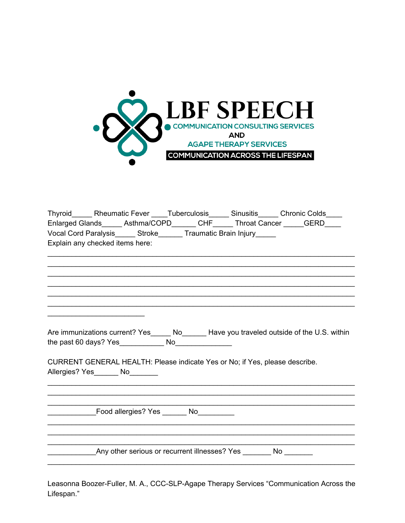

| Thyroid_______ Rheumatic Fever _____ Tuberculosis______ Sinusitis______ Chronic Colds_____<br>Enlarged Glands______ Asthma/COPD_______ CHF______ Throat Cancer _____GERD_____<br>Vocal Cord Paralysis______ Stroke_______ Traumatic Brain Injury_____<br>Explain any checked items here: |
|------------------------------------------------------------------------------------------------------------------------------------------------------------------------------------------------------------------------------------------------------------------------------------------|
|                                                                                                                                                                                                                                                                                          |
|                                                                                                                                                                                                                                                                                          |
|                                                                                                                                                                                                                                                                                          |
| Are immunizations current? Yes_______ No________ Have you traveled outside of the U.S. within<br>CURRENT GENERAL HEALTH: Please indicate Yes or No; if Yes, please describe.                                                                                                             |
| Allergies? Yes_______ No________                                                                                                                                                                                                                                                         |
|                                                                                                                                                                                                                                                                                          |
| Example 2011 Food allergies? Yes ________ No__________                                                                                                                                                                                                                                   |
|                                                                                                                                                                                                                                                                                          |
| Any other serious or recurrent illnesses? Yes No                                                                                                                                                                                                                                         |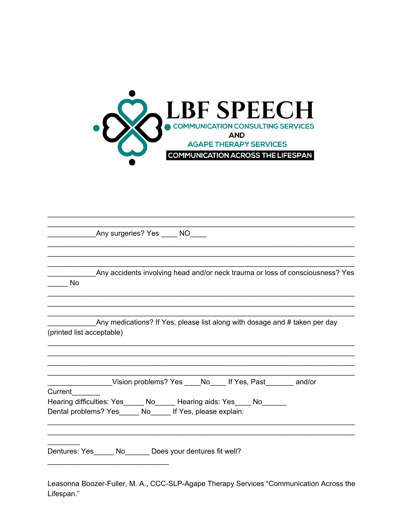

| _________Any surgeries? Yes _____ NO____                                                                                   |
|----------------------------------------------------------------------------------------------------------------------------|
|                                                                                                                            |
|                                                                                                                            |
| Any accidents involving head and/or neck trauma or loss of consciousness? Yes<br>No.                                       |
|                                                                                                                            |
| Any medications? If Yes, please list along with dosage and # taken per day<br>(printed list acceptable)                    |
|                                                                                                                            |
|                                                                                                                            |
| Vision problems? Yes ____No____ If Yes, Past_______ and/or                                                                 |
| Current                                                                                                                    |
| Hearing difficulties: Yes______ No______ Hearing aids: Yes____ No______<br>Dental problems? Yes No If Yes, please explain: |
|                                                                                                                            |
| Dentures: Yes______ No_______ Does your dentures fit well?                                                                 |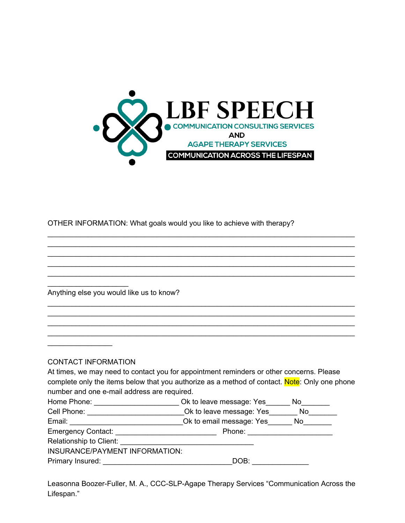

\_\_\_\_\_\_\_\_\_\_\_\_\_\_\_\_\_\_\_\_\_\_\_\_\_\_\_\_\_\_\_\_\_\_\_\_\_\_\_\_\_\_\_\_\_\_\_\_\_\_\_\_\_\_\_\_\_\_\_\_\_\_\_\_\_\_\_\_\_\_\_\_\_\_\_\_ \_\_\_\_\_\_\_\_\_\_\_\_\_\_\_\_\_\_\_\_\_\_\_\_\_\_\_\_\_\_\_\_\_\_\_\_\_\_\_\_\_\_\_\_\_\_\_\_\_\_\_\_\_\_\_\_\_\_\_\_\_\_\_\_\_\_\_\_\_\_\_\_\_\_\_\_

OTHER INFORMATION: What goals would you like to achieve with therapy?

| Anything else you would like us to know?    |                                                                                               |  |
|---------------------------------------------|-----------------------------------------------------------------------------------------------|--|
|                                             |                                                                                               |  |
|                                             |                                                                                               |  |
|                                             |                                                                                               |  |
|                                             |                                                                                               |  |
|                                             |                                                                                               |  |
| CONTACT INFORMATION                         |                                                                                               |  |
|                                             | At times, we may need to contact you for appointment reminders or other concerns. Please      |  |
|                                             | complete only the items below that you authorize as a method of contact. Note: Only one phone |  |
| number and one e-mail address are required. |                                                                                               |  |
|                                             | Home Phone: ______________________________Ok to leave message: Yes________No________          |  |
|                                             | Cell Phone: ______________________________Ok to leave message: Yes________ No________         |  |
|                                             |                                                                                               |  |
|                                             |                                                                                               |  |
|                                             |                                                                                               |  |
|                                             |                                                                                               |  |
| INSURANCE/PAYMENT INFORMATION:              |                                                                                               |  |
| Primary Insured:                            | DOB:                                                                                          |  |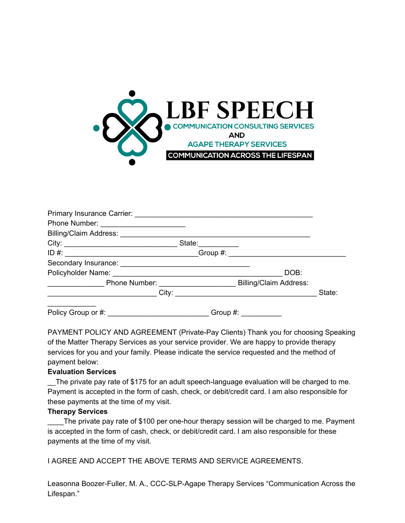

| Phone Number: _________________________ |             |        |
|-----------------------------------------|-------------|--------|
|                                         |             |        |
|                                         |             |        |
|                                         |             |        |
|                                         |             |        |
|                                         | DOB:        |        |
|                                         |             |        |
|                                         |             | State: |
| Policy Group or #:                      | Group $#$ : |        |

PAYMENT POLICY AND AGREEMENT (Private-Pay Clients) Thank you for choosing Speaking of the Matter Therapy Services as your service provider. We are happy to provide therapy services for you and your family. Please indicate the service requested and the method of payment below:

#### **Evaluation Services**

The private pay rate of \$175 for an adult speech-language evaluation will be charged to me. Payment is accepted in the form of cash, check, or debit/credit card. I am also responsible for these payments at the time of my visit.

#### **Therapy Services**

The private pay rate of \$100 per one-hour therapy session will be charged to me. Payment is accepted in the form of cash, check, or debit/credit card. I am also responsible for these payments at the time of my visit.

I AGREE AND ACCEPT THE ABOVE TERMS AND SERVICE AGREEMENTS.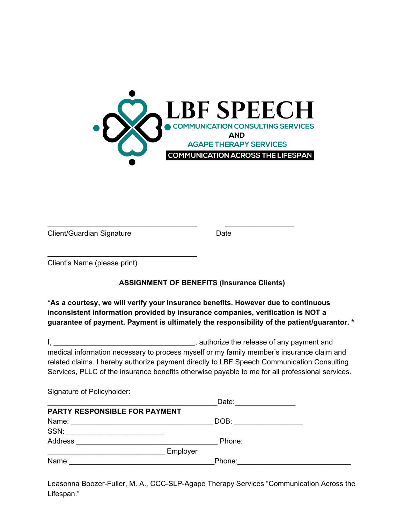

Client/Guardian Signature **Date** Date

Client's Name (please print)

 $\overline{\phantom{a}}$  , and the set of the set of the set of the set of the set of the set of the set of the set of the set of the set of the set of the set of the set of the set of the set of the set of the set of the set of the s

# **ASSIGNMENT OF BENEFITS (Insurance Clients)**

\_\_\_\_\_\_\_\_\_\_\_\_\_\_\_\_\_\_\_\_\_\_\_\_\_\_\_\_\_\_\_\_\_\_\_\_\_ \_\_\_\_\_\_\_\_\_\_\_\_\_\_\_\_\_

**\*As a courtesy, we will verify your insurance benefits. However due to continuous inconsistent information provided by insurance companies, verification is NOT a guarantee of payment. Payment is ultimately the responsibility of the patient/guarantor. \***

I, **EXECUTE:** I, authorize the release of any payment and medical information necessary to process myself or my family member's insurance claim and related claims. I hereby authorize payment directly to LBF Speech Communication Consulting Services, PLLC of the insurance benefits otherwise payable to me for all professional services.

| Signature of Policyholder:                                                                         |          |        |  |
|----------------------------------------------------------------------------------------------------|----------|--------|--|
|                                                                                                    |          | Date:  |  |
| PARTY RESPONSIBLE FOR PAYMENT                                                                      |          |        |  |
| Name:<br>the control of the control of the control of the control of the control of the control of |          | DOB:   |  |
|                                                                                                    |          |        |  |
| Address                                                                                            |          | Phone: |  |
|                                                                                                    | Employer |        |  |
| Name:                                                                                              |          | Phone: |  |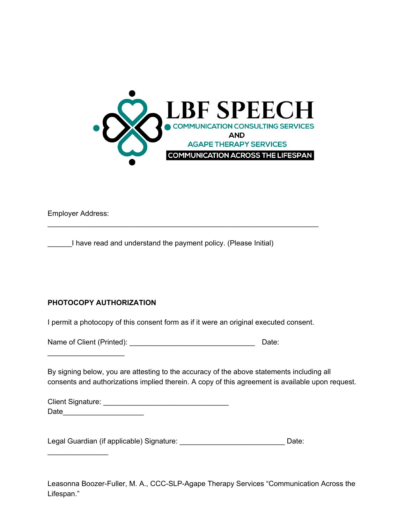

Employer Address:

\_\_\_\_\_\_I have read and understand the payment policy. (Please Initial)

# **PHOTOCOPY AUTHORIZATION**

\_\_\_\_\_\_\_\_\_\_\_\_\_\_\_\_\_\_\_

 $\mathcal{L}_\text{max}$  , where  $\mathcal{L}_\text{max}$ 

I permit a photocopy of this consent form as if it were an original executed consent.

\_\_\_\_\_\_\_\_\_\_\_\_\_\_\_\_\_\_\_\_\_\_\_\_\_\_\_\_\_\_\_\_\_\_\_\_\_\_\_\_\_\_\_\_\_\_\_\_\_\_\_\_\_\_\_\_\_\_\_\_\_\_\_\_\_\_\_

Name of Client (Printed): \_\_\_\_\_\_\_\_\_\_\_\_\_\_\_\_\_\_\_\_\_\_\_\_\_\_\_\_\_\_\_ Date:

By signing below, you are attesting to the accuracy of the above statements including all consents and authorizations implied therein. A copy of this agreement is available upon request.

| Client Signature: |  |
|-------------------|--|
| Date              |  |

Legal Guardian (if applicable) Signature: \_\_\_\_\_\_\_\_\_\_\_\_\_\_\_\_\_\_\_\_\_\_\_\_\_\_\_\_\_\_\_\_Date: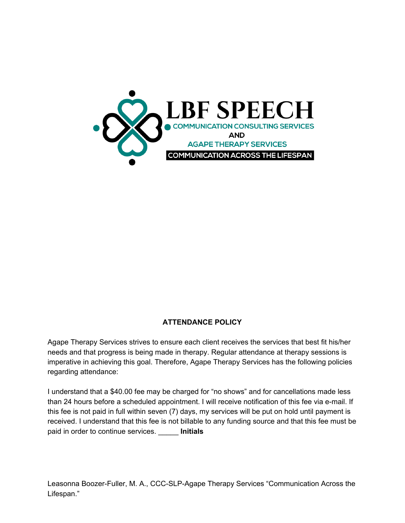

# **ATTENDANCE POLICY**

Agape Therapy Services strives to ensure each client receives the services that best fit his/her needs and that progress is being made in therapy. Regular attendance at therapy sessions is imperative in achieving this goal. Therefore, Agape Therapy Services has the following policies regarding attendance:

I understand that a \$40.00 fee may be charged for "no shows" and for cancellations made less than 24 hours before a scheduled appointment. I will receive notification of this fee via e-mail. If this fee is not paid in full within seven (7) days, my services will be put on hold until payment is received. I understand that this fee is not billable to any funding source and that this fee must be paid in order to continue services. \_\_\_\_\_ **Initials**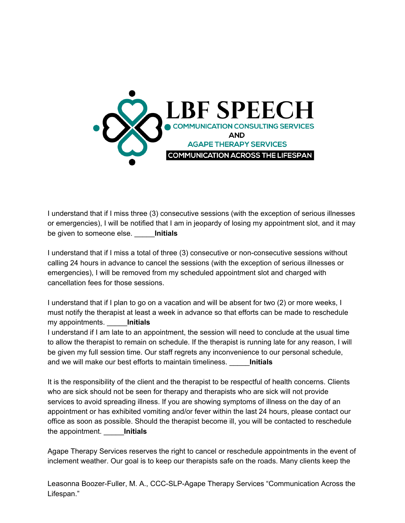

I understand that if I miss three (3) consecutive sessions (with the exception of serious illnesses or emergencies), I will be notified that I am in jeopardy of losing my appointment slot, and it may be given to someone else. \_\_\_\_\_**Initials**

I understand that if I miss a total of three (3) consecutive or non-consecutive sessions without calling 24 hours in advance to cancel the sessions (with the exception of serious illnesses or emergencies), I will be removed from my scheduled appointment slot and charged with cancellation fees for those sessions.

I understand that if I plan to go on a vacation and will be absent for two (2) or more weeks, I must notify the therapist at least a week in advance so that efforts can be made to reschedule my appointments. \_\_\_\_\_**Initials**

I understand if I am late to an appointment, the session will need to conclude at the usual time to allow the therapist to remain on schedule. If the therapist is running late for any reason, I will be given my full session time. Our staff regrets any inconvenience to our personal schedule, and we will make our best efforts to maintain timeliness. \_\_\_\_\_**Initials**

It is the responsibility of the client and the therapist to be respectful of health concerns. Clients who are sick should not be seen for therapy and therapists who are sick will not provide services to avoid spreading illness. If you are showing symptoms of illness on the day of an appointment or has exhibited vomiting and/or fever within the last 24 hours, please contact our office as soon as possible. Should the therapist become ill, you will be contacted to reschedule the appointment. \_\_\_\_\_**Initials**

Agape Therapy Services reserves the right to cancel or reschedule appointments in the event of inclement weather. Our goal is to keep our therapists safe on the roads. Many clients keep the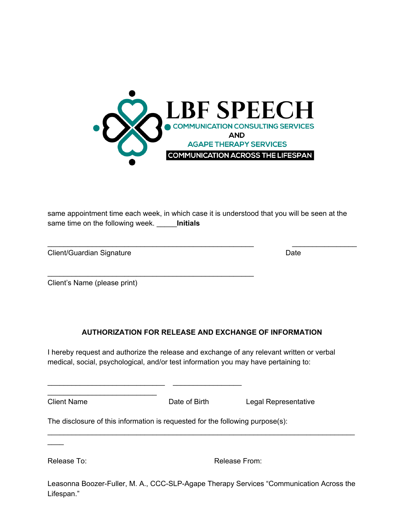

same appointment time each week, in which case it is understood that you will be seen at the same time on the following week. \_\_\_\_\_**Initials**

\_\_\_\_\_\_\_\_\_\_\_\_\_\_\_\_\_\_\_\_\_\_\_\_\_\_\_\_\_\_\_\_\_\_\_\_\_\_\_\_\_\_\_\_\_\_\_\_\_\_\_ \_\_\_\_\_\_\_\_\_\_\_\_\_\_\_\_

Client/Guardian Signature **Date** Date **Date** Date

Client's Name (please print)

\_\_\_\_\_\_\_\_\_\_\_\_\_\_\_\_\_\_\_\_\_\_\_\_\_\_\_

## **AUTHORIZATION FOR RELEASE AND EXCHANGE OF INFORMATION**

I hereby request and authorize the release and exchange of any relevant written or verbal medical, social, psychological, and/or test information you may have pertaining to:

Client Name **Date of Birth** Legal Representative

The disclosure of this information is requested for the following purpose(s):

\_\_\_\_\_\_\_\_\_\_\_\_\_\_\_\_\_\_\_\_\_\_\_\_\_\_\_\_\_\_\_\_\_\_\_\_\_\_\_\_\_\_\_\_\_\_\_\_\_\_\_

 $\_$  ,  $\_$  ,  $\_$  ,  $\_$  ,  $\_$  ,  $\_$  ,  $\_$  ,  $\_$  ,  $\_$  ,  $\_$  ,  $\_$  ,  $\_$  ,  $\_$  ,  $\_$  ,  $\_$  ,  $\_$  ,  $\_$  ,  $\_$ 

 $\mathcal{L}$ 

Release To: The Contract of the Release From: Release From:

Leasonna Boozer-Fuller, M. A., CCC-SLP-Agape Therapy Services "Communication Across the Lifespan."

\_\_\_\_\_\_\_\_\_\_\_\_\_\_\_\_\_\_\_\_\_\_\_\_\_\_\_\_\_\_\_\_\_\_\_\_\_\_\_\_\_\_\_\_\_\_\_\_\_\_\_\_\_\_\_\_\_\_\_\_\_\_\_\_\_\_\_\_\_\_\_\_\_\_\_\_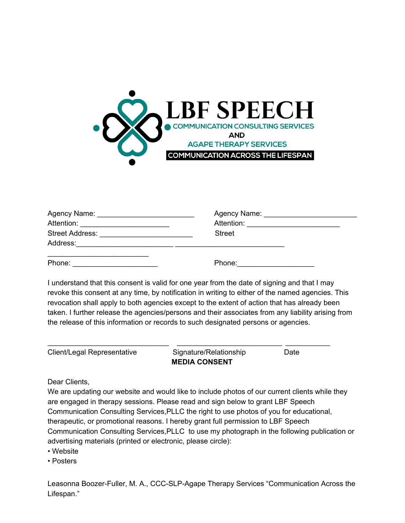

| Agency Name: ______________________________ |                                        |  |
|---------------------------------------------|----------------------------------------|--|
| Attention: _________________________        | Attention: ___________________________ |  |
|                                             | <b>Street</b>                          |  |
| Address:                                    |                                        |  |
| Phone:                                      | Phone:                                 |  |

I understand that this consent is valid for one year from the date of signing and that I may revoke this consent at any time, by notification in writing to either of the named agencies. This revocation shall apply to both agencies except to the extent of action that has already been taken. I further release the agencies/persons and their associates from any liability arising from the release of this information or records to such designated persons or agencies.

| Client/Legal Representative | Signature/Relationship | Date |
|-----------------------------|------------------------|------|
|                             | <b>MEDIA CONSENT</b>   |      |

Dear Clients,

We are updating our website and would like to include photos of our current clients while they are engaged in therapy sessions. Please read and sign below to grant LBF Speech Communication Consulting Services,PLLC the right to use photos of you for educational, therapeutic, or promotional reasons. I hereby grant full permission to LBF Speech Communication Consulting Services,PLLC to use my photograph in the following publication or advertising materials (printed or electronic, please circle):

• Website

• Posters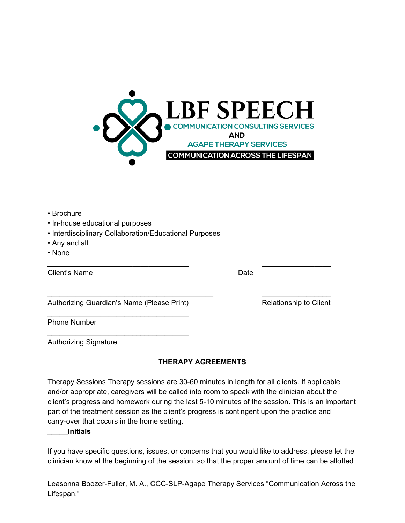

- Brochure
- In-house educational purposes
- Interdisciplinary Collaboration/Educational Purposes
- Any and all
- None

Client's Name Date

Authorizing Guardian's Name (Please Print) Relationship to Client \_\_\_\_\_\_\_\_\_\_\_\_\_\_\_\_\_\_\_\_\_\_\_\_\_\_\_\_\_\_\_\_\_\_\_

\_\_\_\_\_\_\_\_\_\_\_\_\_\_\_\_\_\_\_\_\_\_\_\_\_\_\_\_\_\_\_\_\_\_\_

Phone Number

Authorizing Signature

### **THERAPY AGREEMENTS**

\_\_\_\_\_\_\_\_\_\_\_\_\_\_\_\_\_\_\_\_\_\_\_\_\_\_\_\_\_\_\_\_\_\_\_ \_\_\_\_\_\_\_\_\_\_\_\_\_\_\_\_\_

\_\_\_\_\_\_\_\_\_\_\_\_\_\_\_\_\_\_\_\_\_\_\_\_\_\_\_\_\_\_\_\_\_\_\_\_\_\_\_\_\_ \_\_\_\_\_\_\_\_\_\_\_\_\_\_\_\_\_

Therapy Sessions Therapy sessions are 30-60 minutes in length for all clients. If applicable and/or appropriate, caregivers will be called into room to speak with the clinician about the client's progress and homework during the last 5-10 minutes of the session. This is an important part of the treatment session as the client's progress is contingent upon the practice and carry-over that occurs in the home setting.

#### \_\_\_\_\_**Initials**

If you have specific questions, issues, or concerns that you would like to address, please let the clinician know at the beginning of the session, so that the proper amount of time can be allotted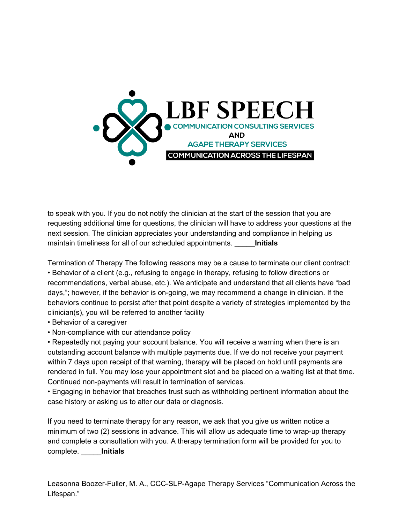

to speak with you. If you do not notify the clinician at the start of the session that you are requesting additional time for questions, the clinician will have to address your questions at the next session. The clinician appreciates your understanding and compliance in helping us maintain timeliness for all of our scheduled appointments. \_\_\_\_\_**Initials**

Termination of Therapy The following reasons may be a cause to terminate our client contract: • Behavior of a client (e.g., refusing to engage in therapy, refusing to follow directions or recommendations, verbal abuse, etc.). We anticipate and understand that all clients have "bad days,"; however, if the behavior is on-going, we may recommend a change in clinician. If the behaviors continue to persist after that point despite a variety of strategies implemented by the clinician(s), you will be referred to another facility

- Behavior of a caregiver
- Non-compliance with our attendance policy

• Repeatedly not paying your account balance. You will receive a warning when there is an outstanding account balance with multiple payments due. If we do not receive your payment within 7 days upon receipt of that warning, therapy will be placed on hold until payments are rendered in full. You may lose your appointment slot and be placed on a waiting list at that time. Continued non-payments will result in termination of services.

• Engaging in behavior that breaches trust such as withholding pertinent information about the case history or asking us to alter our data or diagnosis.

If you need to terminate therapy for any reason, we ask that you give us written notice a minimum of two (2) sessions in advance. This will allow us adequate time to wrap-up therapy and complete a consultation with you. A therapy termination form will be provided for you to complete. \_\_\_\_\_**Initials**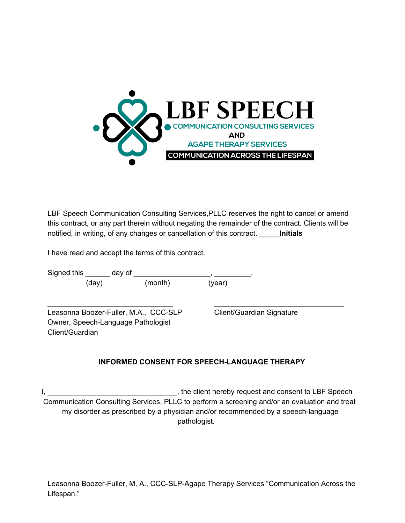

LBF Speech Communication Consulting Services,PLLC reserves the right to cancel or amend this contract, or any part therein without negating the remainder of the contract. Clients will be notified, in writing, of any changes or cancellation of this contract. \_\_\_\_\_**Initials**

I have read and accept the terms of this contract.

| Signed this     | day of |                                       |                           |  |
|-----------------|--------|---------------------------------------|---------------------------|--|
|                 | (day)  | (month)                               | (year)                    |  |
|                 |        | Leasonna Boozer-Fuller, M.A., CCC-SLP | Client/Guardian Signature |  |
| Client/Guardian |        | Owner, Speech-Language Pathologist    |                           |  |

# **INFORMED CONSENT FOR SPEECH-LANGUAGE THERAPY**

I, \_\_\_\_\_\_\_\_\_\_\_\_\_\_\_\_\_\_\_\_\_\_\_\_\_\_\_\_\_\_\_\_, the client hereby request and consent to LBF Speech Communication Consulting Services, PLLC to perform a screening and/or an evaluation and treat my disorder as prescribed by a physician and/or recommended by a speech-language pathologist.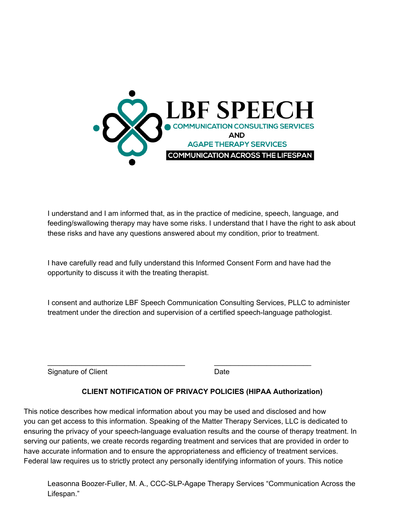

I understand and I am informed that, as in the practice of medicine, speech, language, and feeding/swallowing therapy may have some risks. I understand that I have the right to ask about these risks and have any questions answered about my condition, prior to treatment.

I have carefully read and fully understand this Informed Consent Form and have had the opportunity to discuss it with the treating therapist.

I consent and authorize LBF Speech Communication Consulting Services, PLLC to administer treatment under the direction and supervision of a certified speech-language pathologist.

Signature of Client **Date** 

# **CLIENT NOTIFICATION OF PRIVACY POLICIES (HIPAA Authorization)**

This notice describes how medical information about you may be used and disclosed and how you can get access to this information. Speaking of the Matter Therapy Services, LLC is dedicated to ensuring the privacy of your speech-language evaluation results and the course of therapy treatment. In serving our patients, we create records regarding treatment and services that are provided in order to have accurate information and to ensure the appropriateness and efficiency of treatment services. Federal law requires us to strictly protect any personally identifying information of yours. This notice

\_\_\_\_\_\_\_\_\_\_\_\_\_\_\_\_\_\_\_\_\_\_\_\_\_\_\_\_\_\_\_\_\_\_ \_\_\_\_\_\_\_\_\_\_\_\_\_\_\_\_\_\_\_\_\_\_\_\_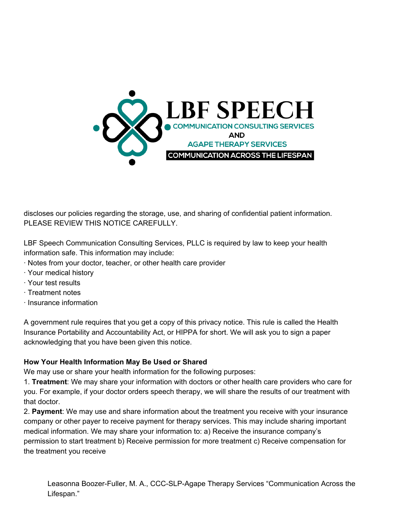

discloses our policies regarding the storage, use, and sharing of confidential patient information. PLEASE REVIEW THIS NOTICE CAREFULLY.

LBF Speech Communication Consulting Services, PLLC is required by law to keep your health information safe. This information may include:

- · Notes from your doctor, teacher, or other health care provider
- · Your medical history
- · Your test results
- · Treatment notes
- · Insurance information

A government rule requires that you get a copy of this privacy notice. This rule is called the Health Insurance Portability and Accountability Act, or HIPPA for short. We will ask you to sign a paper acknowledging that you have been given this notice.

## **How Your Health Information May Be Used or Shared**

We may use or share your health information for the following purposes:

1. **Treatment**: We may share your information with doctors or other health care providers who care for you. For example, if your doctor orders speech therapy, we will share the results of our treatment with that doctor.

2. **Payment**: We may use and share information about the treatment you receive with your insurance company or other payer to receive payment for therapy services. This may include sharing important medical information. We may share your information to: a) Receive the insurance company's permission to start treatment b) Receive permission for more treatment c) Receive compensation for the treatment you receive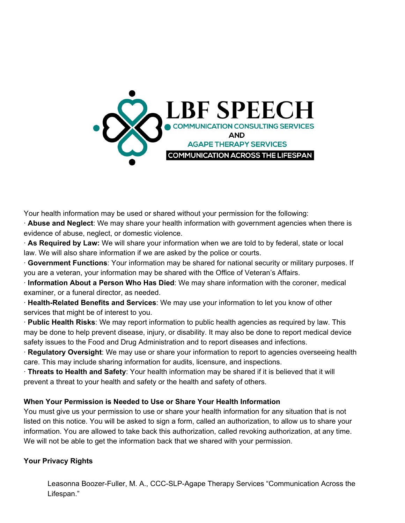

Your health information may be used or shared without your permission for the following:

· **Abuse and Neglect**: We may share your health information with government agencies when there is evidence of abuse, neglect, or domestic violence.

· **As Required by Law:** We will share your information when we are told to by federal, state or local law. We will also share information if we are asked by the police or courts.

· **Government Functions**: Your information may be shared for national security or military purposes. If you are a veteran, your information may be shared with the Office of Veteran's Affairs.

· **Information About a Person Who Has Died**: We may share information with the coroner, medical examiner, or a funeral director, as needed.

· **Health-Related Benefits and Services**: We may use your information to let you know of other services that might be of interest to you.

· **Public Health Risks**: We may report information to public health agencies as required by law. This may be done to help prevent disease, injury, or disability. It may also be done to report medical device safety issues to the Food and Drug Administration and to report diseases and infections.

· **Regulatory Oversight**: We may use or share your information to report to agencies overseeing health care. This may include sharing information for audits, licensure, and inspections.

· **Threats to Health and Safety**: Your health information may be shared if it is believed that it will prevent a threat to your health and safety or the health and safety of others.

### **When Your Permission is Needed to Use or Share Your Health Information**

You must give us your permission to use or share your health information for any situation that is not listed on this notice. You will be asked to sign a form, called an authorization, to allow us to share your information. You are allowed to take back this authorization, called revoking authorization, at any time. We will not be able to get the information back that we shared with your permission.

### **Your Privacy Rights**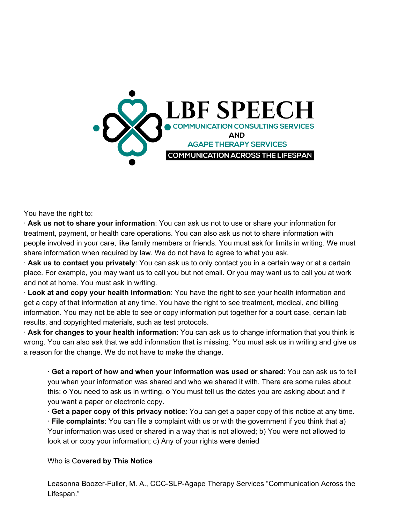

You have the right to:

· **Ask us not to share your information**: You can ask us not to use or share your information for treatment, payment, or health care operations. You can also ask us not to share information with people involved in your care, like family members or friends. You must ask for limits in writing. We must share information when required by law. We do not have to agree to what you ask.

· **Ask us to contact you privately**: You can ask us to only contact you in a certain way or at a certain place. For example, you may want us to call you but not email. Or you may want us to call you at work and not at home. You must ask in writing.

· **Look at and copy your health information**: You have the right to see your health information and get a copy of that information at any time. You have the right to see treatment, medical, and billing information. You may not be able to see or copy information put together for a court case, certain lab results, and copyrighted materials, such as test protocols.

· **Ask for changes to your health information**: You can ask us to change information that you think is wrong. You can also ask that we add information that is missing. You must ask us in writing and give us a reason for the change. We do not have to make the change.

· **Get a report of how and when your information was used or shared**: You can ask us to tell you when your information was shared and who we shared it with. There are some rules about this: o You need to ask us in writing. o You must tell us the dates you are asking about and if you want a paper or electronic copy.

· **Get a paper copy of this privacy notice**: You can get a paper copy of this notice at any time.

· **File complaints**: You can file a complaint with us or with the government if you think that a) Your information was used or shared in a way that is not allowed; b) You were not allowed to look at or copy your information; c) Any of your rights were denied

### Who is C**overed by This Notice**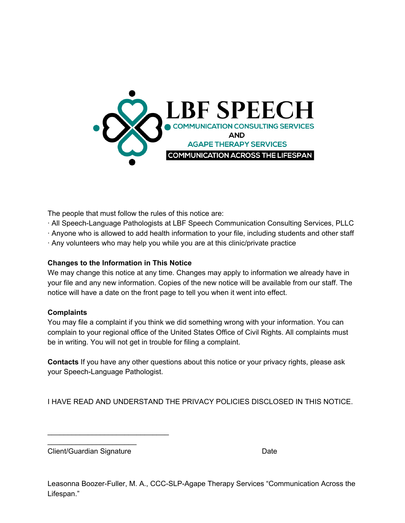

The people that must follow the rules of this notice are:

- · All Speech-Language Pathologists at LBF Speech Communication Consulting Services, PLLC
- · Anyone who is allowed to add health information to your file, including students and other staff
- · Any volunteers who may help you while you are at this clinic/private practice

## **Changes to the Information in This Notice**

We may change this notice at any time. Changes may apply to information we already have in your file and any new information. Copies of the new notice will be available from our staff. The notice will have a date on the front page to tell you when it went into effect.

## **Complaints**

You may file a complaint if you think we did something wrong with your information. You can complain to your regional office of the United States Office of Civil Rights. All complaints must be in writing. You will not get in trouble for filing a complaint.

**Contacts** If you have any other questions about this notice or your privacy rights, please ask your Speech-Language Pathologist.

I HAVE READ AND UNDERSTAND THE PRIVACY POLICIES DISCLOSED IN THIS NOTICE.

 $\overline{\phantom{a}}$  , which is a set of the set of the set of the set of the set of the set of the set of the set of the set of the set of the set of the set of the set of the set of the set of the set of the set of the set of th Client/Guardian Signature Date Date

\_\_\_\_\_\_\_\_\_\_\_\_\_\_\_\_\_\_\_\_\_\_\_\_\_\_\_\_\_\_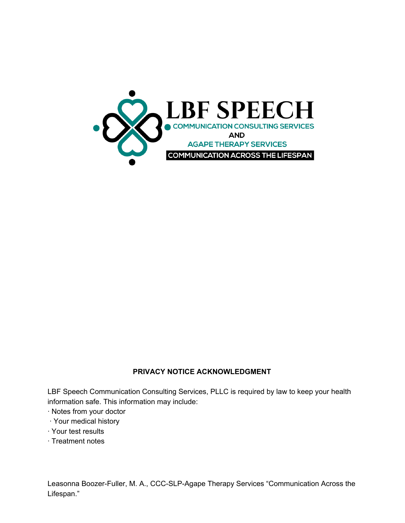

## **PRIVACY NOTICE ACKNOWLEDGMENT**

LBF Speech Communication Consulting Services, PLLC is required by law to keep your health information safe. This information may include:

- · Notes from your doctor
- · Your medical history
- · Your test results
- · Treatment notes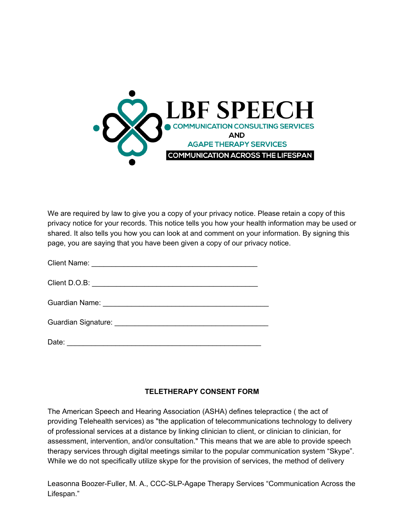

We are required by law to give you a copy of your privacy notice. Please retain a copy of this privacy notice for your records. This notice tells you how your health information may be used or shared. It also tells you how you can look at and comment on your information. By signing this page, you are saying that you have been given a copy of our privacy notice.

# **TELETHERAPY CONSENT FORM**

The American Speech and Hearing Association (ASHA) defines telepractice ( the act of providing Telehealth services) as "the application of telecommunications technology to delivery of professional services at a distance by linking clinician to client, or clinician to clinician, for assessment, intervention, and/or consultation." This means that we are able to provide speech therapy services through digital meetings similar to the popular communication system "Skype". While we do not specifically utilize skype for the provision of services, the method of delivery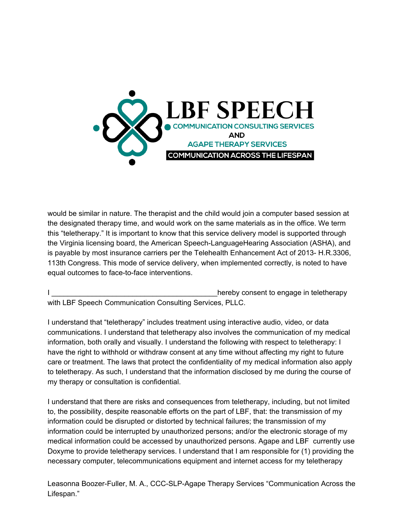

would be similar in nature. The therapist and the child would join a computer based session at the designated therapy time, and would work on the same materials as in the office. We term this "teletherapy." It is important to know that this service delivery model is supported through the Virginia licensing board, the American Speech-LanguageHearing Association (ASHA), and is payable by most insurance carriers per the Telehealth Enhancement Act of 2013- H.R.3306, 113th Congress. This mode of service delivery, when implemented correctly, is noted to have equal outcomes to face-to-face interventions.

hereby consent to engage in teletherapy with LBF Speech Communication Consulting Services, PLLC.

I understand that "teletherapy" includes treatment using interactive audio, video, or data communications. I understand that teletherapy also involves the communication of my medical information, both orally and visually. I understand the following with respect to teletherapy: I have the right to withhold or withdraw consent at any time without affecting my right to future care or treatment. The laws that protect the confidentiality of my medical information also apply to teletherapy. As such, I understand that the information disclosed by me during the course of my therapy or consultation is confidential.

I understand that there are risks and consequences from teletherapy, including, but not limited to, the possibility, despite reasonable efforts on the part of LBF, that: the transmission of my information could be disrupted or distorted by technical failures; the transmission of my information could be interrupted by unauthorized persons; and/or the electronic storage of my medical information could be accessed by unauthorized persons. Agape and LBF currently use Doxyme to provide teletherapy services. I understand that I am responsible for (1) providing the necessary computer, telecommunications equipment and internet access for my teletherapy